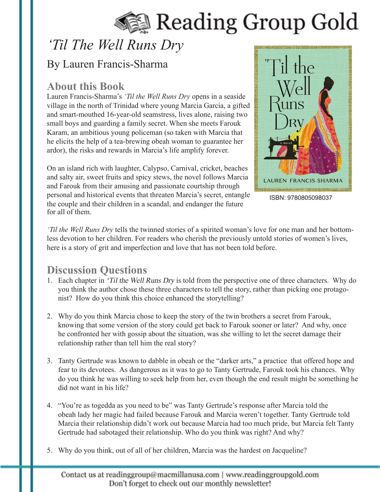# Reading Group Gold

## *'Til The Well Runs Dry*

### By Lauren Francis-Sharma

#### **About this Book**

Lauren Francis-Sharma's *'Til the Well Runs Dry* opens in a seaside village in the north of Trinidad where young Marcia Garcia, a gifted and smart-mouthed 16-year-old seamstress, lives alone, raising two small boys and guarding a family secret. When she meets Farouk Karam, an ambitious young policeman (so taken with Marcia that he elicits the help of a tea-brewing obeah woman to guarantee her ardor), the risks and rewards in Marcia's life amplify forever.

On an island rich with laughter, Calypso, Carnival, cricket, beaches and salty air, sweet fruits and spicy stews, the novel follows Marcia and Farouk from their amusing and passionate courtship through personal and historical events that threaten Marcia's secret, entangle the couple and their children in a scandal, and endanger the future for all of them.



ISBN: 9780805098037

*'Til the Well Runs Dry* tells the twinned stories of a spirited woman's love for one man and her bottomless devotion to her children. For readers who cherish the previously untold stories of women's lives, here is a story of grit and imperfection and love that has not been told before.

### **Discussion Questions**

- 1. Each chapter in 'Til the Well Runs Dry is told from the perspective one of three characters. Why do you think the author chose these three characters to tell the story, rather than picking one protagonist? How do you think this choice enhanced the storytelling?
- 2. Why do you think Marcia chose to keep the story of the twin brothers a secret from Farouk, knowing that some version of the story could get back to Farouk sooner or later? And why, once he confronted her with gossip about the situation, was she willing to let the secret damage their relationship rather than tell him the real story?
- 3. Tanty Gertrude was known to dabble in obeah or the "darker arts," a practice that offered hope and fear to its devotees. As dangerous as it was to go to Tanty Gertrude, Farouk took his chances. Why do you think he was willing to seek help from her, even though the end result might be something he did not want in his life?
- 4. "You're as togedda as you need to be" was Tanty Gertrude's response after Marcia told the obeah lady her magic had failed because Farouk and Marcia weren't together. Tanty Gertrude told Marcia their relationship didn't work out because Marcia had too much pride, but Marcia felt Tanty Gertrude had sabotaged their relationship. Who do you think was right? And why?
- 5. Why do you think, out of all of her children, Marcia was the hardest on Jacqueline?

Contact us at readinggroup@macmillanusa.com | www.readinggroupgold.com Don't forget to check out our monthly newsletter!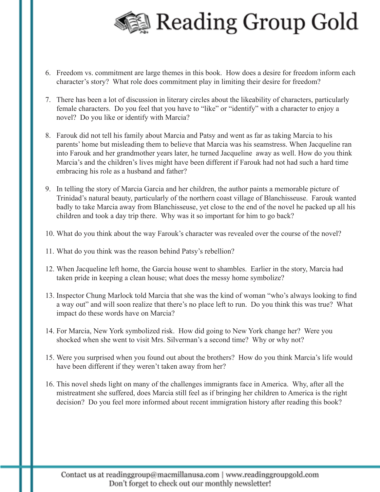

- 6. Freedom vs. commitment are large themes in this book. How does a desire for freedom inform each character's story? What role does commitment play in limiting their desire for freedom?
- 7. There has been a lot of discussion in literary circles about the likeability of characters, particularly female characters. Do you feel that you have to "like" or "identify" with a character to enjoy a novel? Do you like or identify with Marcia?
- 8. Farouk did not tell his family about Marcia and Patsy and went as far as taking Marcia to his parents' home but misleading them to believe that Marcia was his seamstress. When Jacqueline ran into Farouk and her grandmother years later, he turned Jacqueline away as well. How do you think Marcia's and the children's lives might have been different if Farouk had not had such a hard time embracing his role as a husband and father?
- 9. In telling the story of Marcia Garcia and her children, the author paints a memorable picture of Trinidad's natural beauty, particularly of the northern coast village of Blanchisseuse. Farouk wanted badly to take Marcia away from Blanchisseuse, yet close to the end of the novel he packed up all his children and took a day trip there. Why was it so important for him to go back?
- 10. What do you think about the way Farouk's character was revealed over the course of the novel?
- 11. What do you think was the reason behind Patsy's rebellion?
- 12. When Jacqueline left home, the Garcia house went to shambles. Earlier in the story, Marcia had taken pride in keeping a clean house; what does the messy home symbolize?
- 13. Inspector Chung Marlock told Marcia that she was the kind of woman "who's always looking to find a way out" and will soon realize that there's no place left to run. Do you think this was true? What impact do these words have on Marcia?
- 14. For Marcia, New York symbolized risk. How did going to New York change her? Were you shocked when she went to visit Mrs. Silverman's a second time? Why or why not?
- 15. Were you surprised when you found out about the brothers? How do you think Marcia's life would have been different if they weren't taken away from her?
- 16. This novel sheds light on many of the challenges immigrants face in America. Why, after all the mistreatment she suffered, does Marcia still feel as if bringing her children to America is the right decision? Do you feel more informed about recent immigration history after reading this book?